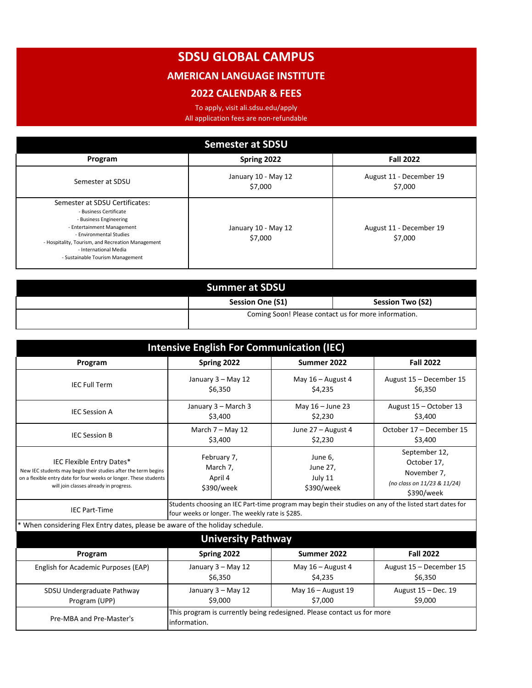## **SDSU GLOBAL CAMPUS**

## **AMERICAN LANGUAGE INSTITUTE**

## **2022 CALENDAR & FEES**

To apply, visit ali.sdsu.edu/apply All application fees are non-refundable

| <b>Semester at SDSU</b>                                                                                                                                                                                                                                       |                                |                                    |  |
|---------------------------------------------------------------------------------------------------------------------------------------------------------------------------------------------------------------------------------------------------------------|--------------------------------|------------------------------------|--|
| Program                                                                                                                                                                                                                                                       | Spring 2022                    | <b>Fall 2022</b>                   |  |
| Semester at SDSU                                                                                                                                                                                                                                              | January 10 - May 12<br>\$7,000 | August 11 - December 19<br>\$7,000 |  |
| Semester at SDSU Certificates:<br>- Business Certificate<br>- Business Engineering<br>- Entertainment Management<br>- Environmental Studies<br>- Hospitality, Tourism, and Recreation Management<br>- International Media<br>- Sustainable Tourism Management | January 10 - May 12<br>\$7,000 | August 11 - December 19<br>\$7,000 |  |

| <b>Summer at SDSU</b> |                                                      |                  |  |
|-----------------------|------------------------------------------------------|------------------|--|
|                       | <b>Session One (S1)</b>                              | Session Two (S2) |  |
|                       | Coming Soon! Please contact us for more information. |                  |  |

| <b>Intensive English For Communication (IEC)</b>                                                                                                                                                           |                                                                                                                                                            |                                              |                                                                                          |
|------------------------------------------------------------------------------------------------------------------------------------------------------------------------------------------------------------|------------------------------------------------------------------------------------------------------------------------------------------------------------|----------------------------------------------|------------------------------------------------------------------------------------------|
| Program                                                                                                                                                                                                    | Spring 2022                                                                                                                                                | Summer 2022                                  | <b>Fall 2022</b>                                                                         |
| <b>IEC Full Term</b>                                                                                                                                                                                       | January 3 - May 12<br>\$6,350                                                                                                                              | May $16 -$ August 4<br>\$4,235               | August 15 - December 15<br>\$6,350                                                       |
| <b>IEC Session A</b>                                                                                                                                                                                       | January 3 - March 3<br>\$3,400                                                                                                                             | May 16 - June 23<br>\$2,230                  | August 15 - October 13<br>\$3,400                                                        |
| <b>IEC Session B</b>                                                                                                                                                                                       | March $7 -$ May 12<br>\$3,400                                                                                                                              | June 27 - August 4<br>\$2,230                | October 17 - December 15<br>\$3,400                                                      |
| IEC Flexible Entry Dates*<br>New IEC students may begin their studies after the term begins<br>on a flexible entry date for four weeks or longer. These students<br>will join classes already in progress. | February 7,<br>March 7,<br>April 4<br>\$390/week                                                                                                           | June 6,<br>June 27,<br>July 11<br>\$390/week | September 12,<br>October 17,<br>November 7,<br>(no class on 11/23 & 11/24)<br>\$390/week |
| <b>IEC Part-Time</b>                                                                                                                                                                                       | Students choosing an IEC Part-time program may begin their studies on any of the listed start dates for<br>four weeks or longer. The weekly rate is \$285. |                                              |                                                                                          |
| * When considering Flex Entry dates, please be aware of the holiday schedule.                                                                                                                              |                                                                                                                                                            |                                              |                                                                                          |
| <b>University Pathway</b>                                                                                                                                                                                  |                                                                                                                                                            |                                              |                                                                                          |
| Program                                                                                                                                                                                                    | Spring 2022                                                                                                                                                | Summer 2022                                  | <b>Fall 2022</b>                                                                         |
| English for Academic Purposes (EAP)                                                                                                                                                                        | January 3 - May 12<br>\$6,350                                                                                                                              | May $16 -$ August 4<br>\$4,235               | August 15 - December 15<br>\$6,350                                                       |
| SDSU Undergraduate Pathway<br>Program (UPP)                                                                                                                                                                | January 3 - May 12<br>\$9,000                                                                                                                              | May $16 -$ August 19<br>\$7,000              | August 15 - Dec. 19<br>\$9,000                                                           |
| Pre-MBA and Pre-Master's                                                                                                                                                                                   | This program is currently being redesigned. Please contact us for more<br>linformation.                                                                    |                                              |                                                                                          |